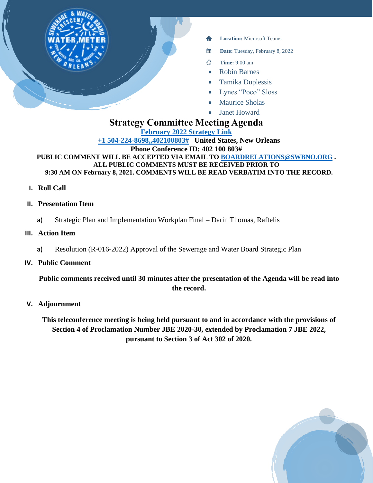

- **Location:** Microsoft Teams
- 置 **Date:** Tuesday, February 8, 2022
- **Time:** 9:00 am  $\circledcirc$
- Robin Barnes
- Tamika Duplessis
- Lynes "Poco" Sloss
- **Maurice Sholas**
- **Janet Howard**

# **Strategy Committee Meeting Agenda**

**[February 2022 Strategy Link](https://teams.microsoft.com/l/meetup-join/19%3ameeting_Y2JmYzU3MDYtNWZlZS00MDRmLWE3MTMtMjczZDcwMjIxN2Y2%40thread.v2/0?context=%7b%22Tid%22%3a%22db706155-4aa7-4a5e-b348-b35c3136f6a7%22%2c%22Oid%22%3a%22fcca2b1f-7895-42f0-8972-2f2b78d70e78%22%7d)**

**[+1 504-224-8698,,402100803#](tel:+15042248698,,402100803# ) United States, New Orleans Phone Conference ID: 402 100 803#**

**PUBLIC COMMENT WILL BE ACCEPTED VIA EMAIL TO [BOARDRELATIONS@SWBNO.ORG](mailto:BOARDRELATIONS@SWBNO.ORG) . ALL PUBLIC COMMENTS MUST BE RECEIVED PRIOR TO 9:30 AM ON February 8, 2021. COMMENTS WILL BE READ VERBATIM INTO THE RECORD.**

**I. Roll Call**

## **II. Presentation Item**

a) Strategic Plan and Implementation Workplan Final – Darin Thomas, Raftelis

## **III. Action Item**

a) Resolution (R-016-2022) Approval of the Sewerage and Water Board Strategic Plan

## **IV. Public Comment**

**Public comments received until 30 minutes after the presentation of the Agenda will be read into the record.**

## **V. Adjournment**

**This teleconference meeting is being held pursuant to and in accordance with the provisions of Section 4 of Proclamation Number JBE 2020-30, extended by Proclamation 7 JBE 2022, pursuant to Section 3 of Act 302 of 2020.**